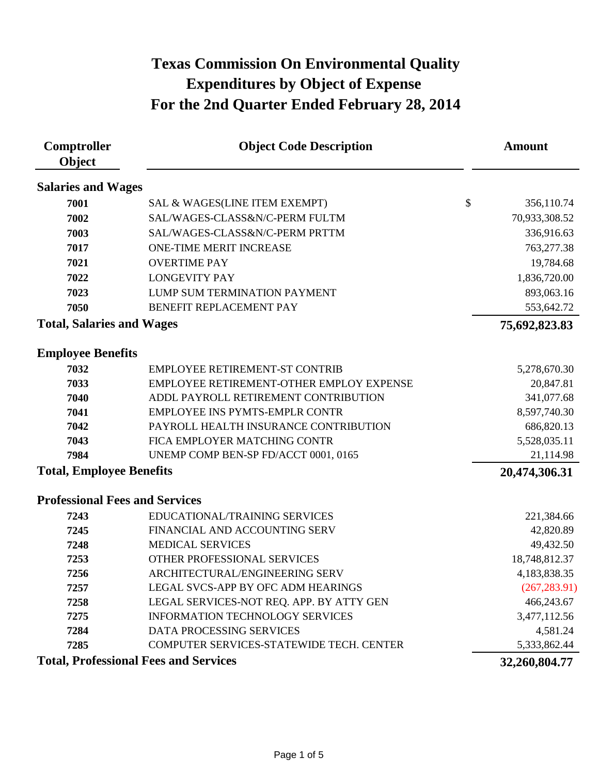| Comptroller<br>Object                        | <b>Object Code Description</b>           |                           | <b>Amount</b> |
|----------------------------------------------|------------------------------------------|---------------------------|---------------|
| <b>Salaries and Wages</b>                    |                                          |                           |               |
| 7001                                         | SAL & WAGES(LINE ITEM EXEMPT)            | $\boldsymbol{\mathsf{S}}$ | 356,110.74    |
| 7002                                         | SAL/WAGES-CLASS&N/C-PERM FULTM           |                           | 70,933,308.52 |
| 7003                                         | SAL/WAGES-CLASS&N/C-PERM PRTTM           |                           | 336,916.63    |
| 7017                                         | <b>ONE-TIME MERIT INCREASE</b>           |                           | 763,277.38    |
| 7021                                         | <b>OVERTIME PAY</b>                      |                           | 19,784.68     |
| 7022                                         | <b>LONGEVITY PAY</b>                     |                           | 1,836,720.00  |
| 7023                                         | LUMP SUM TERMINATION PAYMENT             |                           | 893,063.16    |
| 7050                                         | BENEFIT REPLACEMENT PAY                  |                           | 553,642.72    |
| <b>Total, Salaries and Wages</b>             |                                          |                           | 75,692,823.83 |
| <b>Employee Benefits</b>                     |                                          |                           |               |
| 7032                                         | <b>EMPLOYEE RETIREMENT-ST CONTRIB</b>    |                           | 5,278,670.30  |
| 7033                                         | EMPLOYEE RETIREMENT-OTHER EMPLOY EXPENSE |                           | 20,847.81     |
| 7040                                         | ADDL PAYROLL RETIREMENT CONTRIBUTION     |                           | 341,077.68    |
| 7041                                         | <b>EMPLOYEE INS PYMTS-EMPLR CONTR</b>    |                           | 8,597,740.30  |
| 7042                                         | PAYROLL HEALTH INSURANCE CONTRIBUTION    |                           | 686,820.13    |
| 7043                                         | FICA EMPLOYER MATCHING CONTR             |                           | 5,528,035.11  |
| 7984                                         | UNEMP COMP BEN-SP FD/ACCT 0001, 0165     |                           | 21,114.98     |
| <b>Total, Employee Benefits</b>              |                                          |                           | 20,474,306.31 |
| <b>Professional Fees and Services</b>        |                                          |                           |               |
| 7243                                         | EDUCATIONAL/TRAINING SERVICES            |                           | 221,384.66    |
| 7245                                         | FINANCIAL AND ACCOUNTING SERV            |                           | 42,820.89     |
| 7248                                         | <b>MEDICAL SERVICES</b>                  |                           | 49,432.50     |
| 7253                                         | OTHER PROFESSIONAL SERVICES              |                           | 18,748,812.37 |
| 7256                                         | ARCHITECTURAL/ENGINEERING SERV           |                           | 4,183,838.35  |
| 7257                                         | LEGAL SVCS-APP BY OFC ADM HEARINGS       |                           | (267, 283.91) |
| 7258                                         | LEGAL SERVICES-NOT REQ. APP. BY ATTY GEN |                           | 466,243.67    |
| 7275                                         | INFORMATION TECHNOLOGY SERVICES          |                           | 3,477,112.56  |
| 7284                                         | DATA PROCESSING SERVICES                 |                           | 4,581.24      |
| 7285                                         | COMPUTER SERVICES-STATEWIDE TECH. CENTER |                           | 5,333,862.44  |
| <b>Total, Professional Fees and Services</b> |                                          |                           | 32,260,804.77 |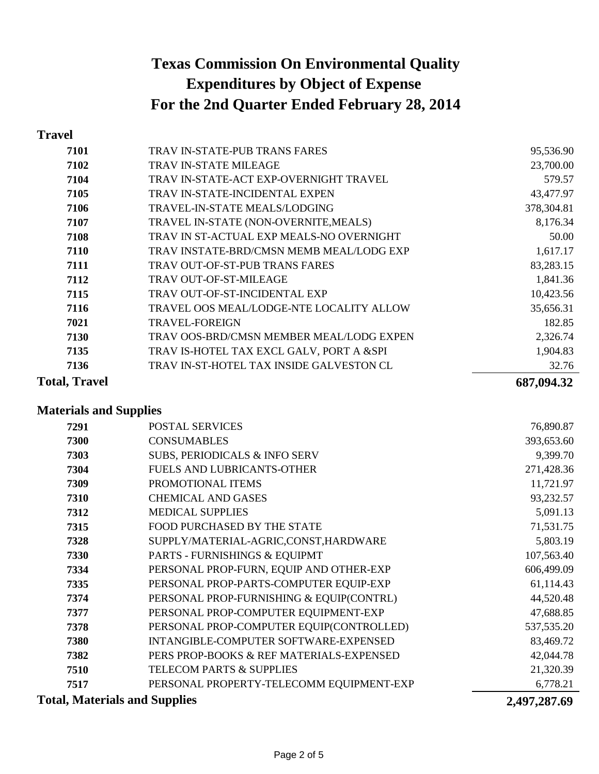### **Travel**

|                                          | 687,094.32 |
|------------------------------------------|------------|
| TRAV IN-ST-HOTEL TAX INSIDE GALVESTON CL | 32.76      |
| TRAV IS-HOTEL TAX EXCL GALV, PORT A &SPI | 1,904.83   |
| TRAV OOS-BRD/CMSN MEMBER MEAL/LODG EXPEN | 2,326.74   |
| <b>TRAVEL-FOREIGN</b>                    | 182.85     |
| TRAVEL OOS MEAL/LODGE-NTE LOCALITY ALLOW | 35,656.31  |
| TRAV OUT-OF-ST-INCIDENTAL EXP            | 10,423.56  |
| <b>TRAV OUT-OF-ST-MILEAGE</b>            | 1,841.36   |
| <b>TRAV OUT-OF-ST-PUB TRANS FARES</b>    | 83,283.15  |
| TRAV INSTATE-BRD/CMSN MEMB MEAL/LODG EXP | 1,617.17   |
| TRAV IN ST-ACTUAL EXP MEALS-NO OVERNIGHT | 50.00      |
| TRAVEL IN-STATE (NON-OVERNITE, MEALS)    | 8,176.34   |
| <b>TRAVEL-IN-STATE MEALS/LODGING</b>     | 378,304.81 |
| <b>TRAV IN-STATE-INCIDENTAL EXPEN</b>    | 43,477.97  |
| TRAV IN-STATE-ACT EXP-OVERNIGHT TRAVEL   | 579.57     |
| <b>TRAV IN-STATE MILEAGE</b>             | 23,700.00  |
| <b>TRAV IN-STATE-PUB TRANS FARES</b>     | 95,536.90  |
|                                          |            |

### **Materials and Supplies**

| 7291                                 | <b>POSTAL SERVICES</b>                   | 76,890.87    |
|--------------------------------------|------------------------------------------|--------------|
| 7300                                 | <b>CONSUMABLES</b>                       | 393,653.60   |
| 7303                                 | SUBS, PERIODICALS & INFO SERV            | 9,399.70     |
| 7304                                 | <b>FUELS AND LUBRICANTS-OTHER</b>        | 271,428.36   |
| 7309                                 | PROMOTIONAL ITEMS                        | 11,721.97    |
| 7310                                 | <b>CHEMICAL AND GASES</b>                | 93,232.57    |
| 7312                                 | <b>MEDICAL SUPPLIES</b>                  | 5,091.13     |
| 7315                                 | <b>FOOD PURCHASED BY THE STATE</b>       | 71,531.75    |
| 7328                                 | SUPPLY/MATERIAL-AGRIC,CONST,HARDWARE     | 5,803.19     |
| 7330                                 | PARTS - FURNISHINGS & EQUIPMT            | 107,563.40   |
| 7334                                 | PERSONAL PROP-FURN, EQUIP AND OTHER-EXP  | 606,499.09   |
| 7335                                 | PERSONAL PROP-PARTS-COMPUTER EQUIP-EXP   | 61,114.43    |
| 7374                                 | PERSONAL PROP-FURNISHING & EQUIP(CONTRL) | 44,520.48    |
| 7377                                 | PERSONAL PROP-COMPUTER EQUIPMENT-EXP     | 47,688.85    |
| 7378                                 | PERSONAL PROP-COMPUTER EQUIP(CONTROLLED) | 537, 535. 20 |
| 7380                                 | INTANGIBLE-COMPUTER SOFTWARE-EXPENSED    | 83,469.72    |
| 7382                                 | PERS PROP-BOOKS & REF MATERIALS-EXPENSED | 42,044.78    |
| 7510                                 | TELECOM PARTS & SUPPLIES                 | 21,320.39    |
| 7517                                 | PERSONAL PROPERTY-TELECOMM EQUIPMENT-EXP | 6,778.21     |
| <b>Total, Materials and Supplies</b> |                                          | 2,497,287.69 |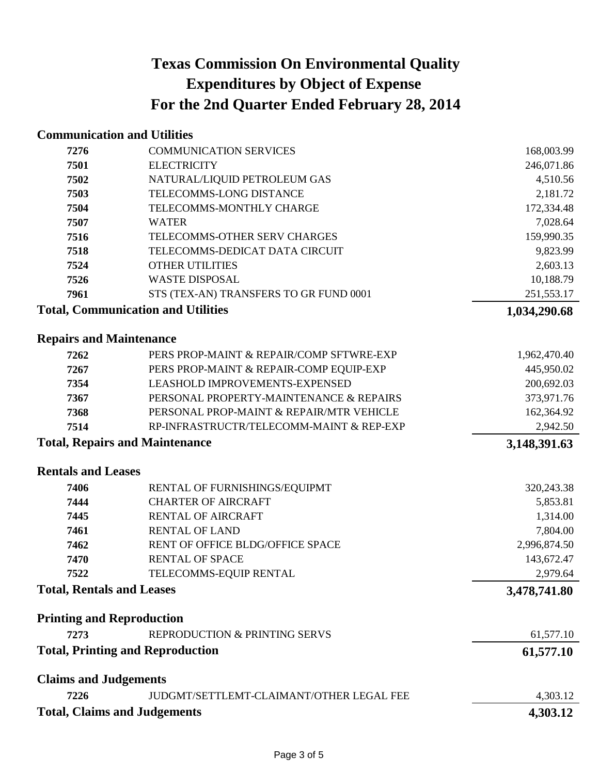# **Communication and Utilities**

| 7276                                  | <b>COMMUNICATION SERVICES</b>                                                   | 168,003.99             |
|---------------------------------------|---------------------------------------------------------------------------------|------------------------|
| 7501                                  | <b>ELECTRICITY</b>                                                              | 246,071.86             |
| 7502                                  | NATURAL/LIQUID PETROLEUM GAS                                                    | 4,510.56               |
| 7503                                  | TELECOMMS-LONG DISTANCE                                                         | 2,181.72               |
| 7504                                  | TELECOMMS-MONTHLY CHARGE                                                        | 172,334.48             |
| 7507                                  | <b>WATER</b>                                                                    | 7,028.64               |
| 7516                                  | TELECOMMS-OTHER SERV CHARGES                                                    | 159,990.35             |
| 7518                                  | TELECOMMS-DEDICAT DATA CIRCUIT                                                  | 9,823.99               |
| 7524                                  | <b>OTHER UTILITIES</b>                                                          | 2,603.13               |
| 7526                                  | <b>WASTE DISPOSAL</b>                                                           | 10,188.79              |
| 7961                                  | STS (TEX-AN) TRANSFERS TO GR FUND 0001                                          | 251,553.17             |
|                                       | <b>Total, Communication and Utilities</b>                                       | 1,034,290.68           |
| <b>Repairs and Maintenance</b>        |                                                                                 |                        |
| 7262                                  | PERS PROP-MAINT & REPAIR/COMP SFTWRE-EXP                                        | 1,962,470.40           |
| 7267                                  | PERS PROP-MAINT & REPAIR-COMP EQUIP-EXP                                         | 445,950.02             |
| 7354                                  | LEASHOLD IMPROVEMENTS-EXPENSED                                                  | 200,692.03             |
| 7367                                  | PERSONAL PROPERTY-MAINTENANCE & REPAIRS                                         | 373,971.76             |
| 7368                                  | PERSONAL PROP-MAINT & REPAIR/MTR VEHICLE                                        | 162,364.92             |
| 7514                                  | RP-INFRASTRUCTR/TELECOMM-MAINT & REP-EXP                                        | 2,942.50               |
| <b>Total, Repairs and Maintenance</b> |                                                                                 | 3,148,391.63           |
| <b>Rentals and Leases</b>             |                                                                                 |                        |
| 7406                                  | RENTAL OF FURNISHINGS/EQUIPMT                                                   | 320,243.38             |
| 7444                                  | <b>CHARTER OF AIRCRAFT</b>                                                      | 5,853.81               |
| 7445                                  | <b>RENTAL OF AIRCRAFT</b>                                                       | 1,314.00               |
| 7461                                  | <b>RENTAL OF LAND</b>                                                           | 7,804.00               |
| 7462                                  | RENT OF OFFICE BLDG/OFFICE SPACE                                                | 2,996,874.50           |
| 7470                                  | <b>RENTAL OF SPACE</b>                                                          | 143,672.47             |
| 7522                                  | TELECOMMS-EQUIP RENTAL                                                          | 2,979.64               |
| <b>Total, Rentals and Leases</b>      |                                                                                 | 3,478,741.80           |
| <b>Printing and Reproduction</b>      |                                                                                 |                        |
|                                       |                                                                                 |                        |
|                                       |                                                                                 |                        |
| 7273                                  | REPRODUCTION & PRINTING SERVS<br><b>Total, Printing and Reproduction</b>        | 61,577.10<br>61,577.10 |
|                                       |                                                                                 |                        |
| <b>Claims and Judgements</b>          |                                                                                 |                        |
| 7226                                  | JUDGMT/SETTLEMT-CLAIMANT/OTHER LEGAL FEE<br><b>Total, Claims and Judgements</b> | 4,303.12<br>4,303.12   |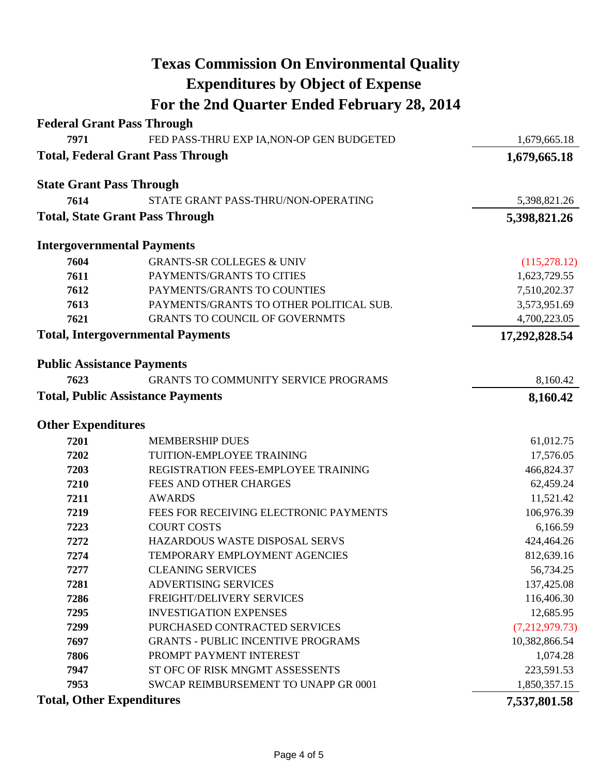|                                          | <b>Texas Commission On Environmental Quality</b> |                |
|------------------------------------------|--------------------------------------------------|----------------|
|                                          | <b>Expenditures by Object of Expense</b>         |                |
|                                          | For the 2nd Quarter Ended February 28, 2014      |                |
| <b>Federal Grant Pass Through</b>        |                                                  |                |
| 7971                                     | FED PASS-THRU EXP IA, NON-OP GEN BUDGETED        | 1,679,665.18   |
|                                          | <b>Total, Federal Grant Pass Through</b>         | 1,679,665.18   |
| <b>State Grant Pass Through</b>          |                                                  |                |
| 7614                                     | STATE GRANT PASS-THRU/NON-OPERATING              | 5,398,821.26   |
|                                          | <b>Total, State Grant Pass Through</b>           | 5,398,821.26   |
| <b>Intergovernmental Payments</b>        |                                                  |                |
| 7604                                     | <b>GRANTS-SR COLLEGES &amp; UNIV</b>             | (115, 278.12)  |
| 7611                                     | PAYMENTS/GRANTS TO CITIES                        | 1,623,729.55   |
| 7612                                     | PAYMENTS/GRANTS TO COUNTIES                      | 7,510,202.37   |
| 7613                                     | PAYMENTS/GRANTS TO OTHER POLITICAL SUB.          | 3,573,951.69   |
| 7621                                     | <b>GRANTS TO COUNCIL OF GOVERNMTS</b>            | 4,700,223.05   |
| <b>Total, Intergovernmental Payments</b> |                                                  | 17,292,828.54  |
| <b>Public Assistance Payments</b>        |                                                  |                |
| 7623                                     | <b>GRANTS TO COMMUNITY SERVICE PROGRAMS</b>      | 8,160.42       |
| <b>Total, Public Assistance Payments</b> |                                                  | 8,160.42       |
| <b>Other Expenditures</b>                |                                                  |                |
| 7201                                     | <b>MEMBERSHIP DUES</b>                           | 61,012.75      |
| 7202                                     | TUITION-EMPLOYEE TRAINING                        | 17,576.05      |
| 7203                                     | REGISTRATION FEES-EMPLOYEE TRAINING              | 466,824.37     |
| 7210                                     | FEES AND OTHER CHARGES                           | 62,459.24      |
| 7211                                     | <b>AWARDS</b>                                    | 11,521.42      |
| 7219                                     | FEES FOR RECEIVING ELECTRONIC PAYMENTS           | 106,976.39     |
| 7223                                     | <b>COURT COSTS</b>                               | 6,166.59       |
| 7272                                     | <b>HAZARDOUS WASTE DISPOSAL SERVS</b>            | 424,464.26     |
| 7274                                     | TEMPORARY EMPLOYMENT AGENCIES                    | 812,639.16     |
| 7277                                     | <b>CLEANING SERVICES</b>                         | 56,734.25      |
| 7281                                     | <b>ADVERTISING SERVICES</b>                      | 137,425.08     |
| 7286                                     | FREIGHT/DELIVERY SERVICES                        | 116,406.30     |
| 7295                                     | <b>INVESTIGATION EXPENSES</b>                    | 12,685.95      |
| 7299                                     | PURCHASED CONTRACTED SERVICES                    | (7,212,979.73) |
| 7697                                     | <b>GRANTS - PUBLIC INCENTIVE PROGRAMS</b>        | 10,382,866.54  |
| 7806                                     | PROMPT PAYMENT INTEREST                          | 1,074.28       |
| 7947                                     | ST OFC OF RISK MNGMT ASSESSENTS                  | 223,591.53     |
| 7953                                     | SWCAP REIMBURSEMENT TO UNAPP GR 0001             | 1,850,357.15   |
| <b>Total, Other Expenditures</b>         |                                                  | 7,537,801.58   |